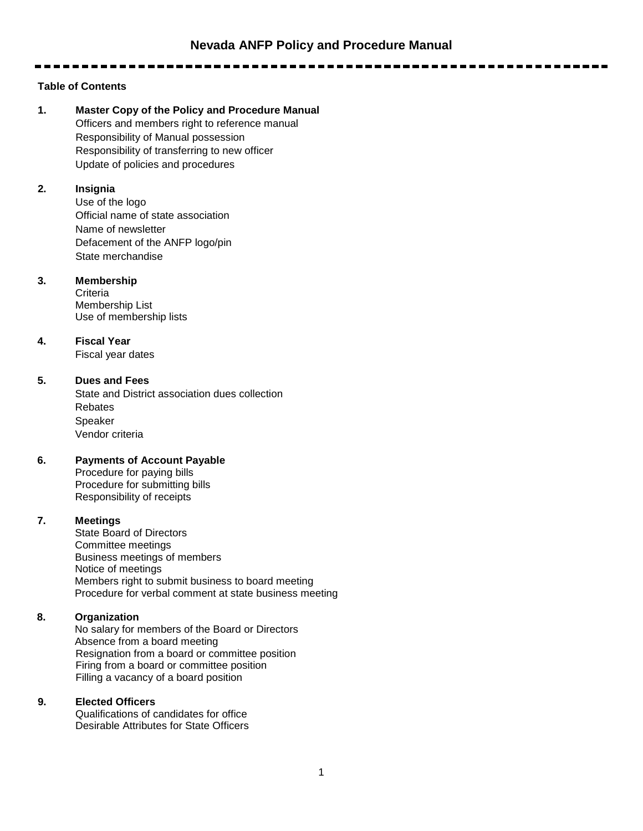-----------

# **Table of Contents**

**1. Master Copy of the Policy and Procedure Manual** Officers and members right to reference manual Responsibility of Manual possession Responsibility of transferring to new officer Update of policies and procedures

## **2. Insignia**

Use of the logo Official name of state association Name of newsletter Defacement of the ANFP logo/pin State merchandise

## **3. Membership**

**Criteria** Membership List Use of membership lists

## **4. Fiscal Year**

Fiscal year dates

# **5. Dues and Fees**

State and District association dues collection Rebates Speaker Vendor criteria

# **6. Payments of Account Payable**

Procedure for paying bills Procedure for submitting bills Responsibility of receipts

# **7. Meetings**

State Board of Directors Committee meetings Business meetings of members Notice of meetings Members right to submit business to board meeting Procedure for verbal comment at state business meeting

# **8. Organization**

No salary for members of the Board or Directors Absence from a board meeting Resignation from a board or committee position Firing from a board or committee position Filling a vacancy of a board position

## **9. Elected Officers**

Qualifications of candidates for office Desirable Attributes for State Officers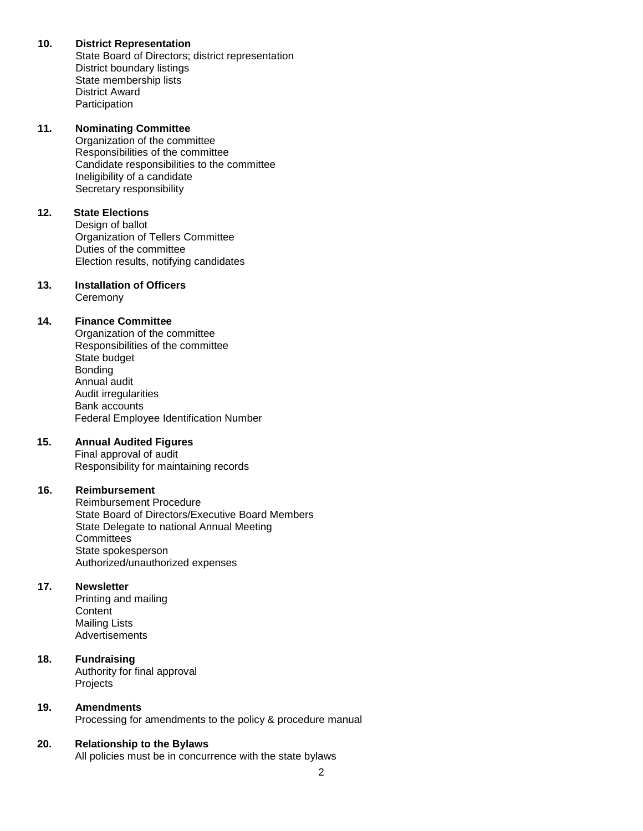## **10. District Representation**

State Board of Directors; district representation District boundary listings State membership lists District Award **Participation** 

## **11. Nominating Committee**

Organization of the committee Responsibilities of the committee Candidate responsibilities to the committee Ineligibility of a candidate Secretary responsibility

# **12. State Elections**

Design of ballot Organization of Tellers Committee Duties of the committee Election results, notifying candidates

# **13. Installation of Officers**

**Ceremony** 

## **14. Finance Committee**

Organization of the committee Responsibilities of the committee State budget Bonding Annual audit Audit irregularities Bank accounts Federal Employee Identification Number

## **15. Annual Audited Figures**

Final approval of audit Responsibility for maintaining records

## **16. Reimbursement**

Reimbursement Procedure State Board of Directors/Executive Board Members State Delegate to national Annual Meeting **Committees** State spokesperson Authorized/unauthorized expenses

## **17. Newsletter**

Printing and mailing **Content** Mailing Lists Advertisements

# **18. Fundraising**

Authority for final approval Projects

## **19. Amendments**

Processing for amendments to the policy & procedure manual

## **20. Relationship to the Bylaws**

All policies must be in concurrence with the state bylaws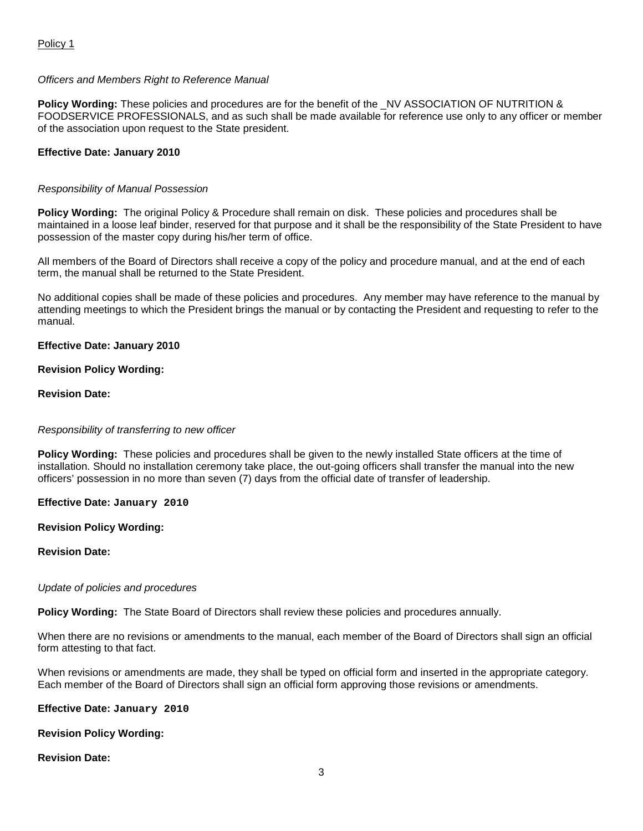## *Officers and Members Right to Reference Manual*

**Policy Wording:** These policies and procedures are for the benefit of the \_NV ASSOCIATION OF NUTRITION & FOODSERVICE PROFESSIONALS, and as such shall be made available for reference use only to any officer or member of the association upon request to the State president.

## **Effective Date: January 2010**

## *Responsibility of Manual Possession*

**Policy Wording:** The original Policy & Procedure shall remain on disk. These policies and procedures shall be maintained in a loose leaf binder, reserved for that purpose and it shall be the responsibility of the State President to have possession of the master copy during his/her term of office.

All members of the Board of Directors shall receive a copy of the policy and procedure manual, and at the end of each term, the manual shall be returned to the State President.

No additional copies shall be made of these policies and procedures. Any member may have reference to the manual by attending meetings to which the President brings the manual or by contacting the President and requesting to refer to the manual.

## **Effective Date: January 2010**

## **Revision Policy Wording:**

## **Revision Date:**

## *Responsibility of transferring to new officer*

**Policy Wording:** These policies and procedures shall be given to the newly installed State officers at the time of installation. Should no installation ceremony take place, the out-going officers shall transfer the manual into the new officers' possession in no more than seven (7) days from the official date of transfer of leadership.

**Effective Date: January 2010**

## **Revision Policy Wording:**

## **Revision Date:**

## *Update of policies and procedures*

**Policy Wording:** The State Board of Directors shall review these policies and procedures annually.

When there are no revisions or amendments to the manual, each member of the Board of Directors shall sign an official form attesting to that fact.

When revisions or amendments are made, they shall be typed on official form and inserted in the appropriate category. Each member of the Board of Directors shall sign an official form approving those revisions or amendments.

## **Effective Date: January 2010**

# **Revision Policy Wording:**

## **Revision Date:**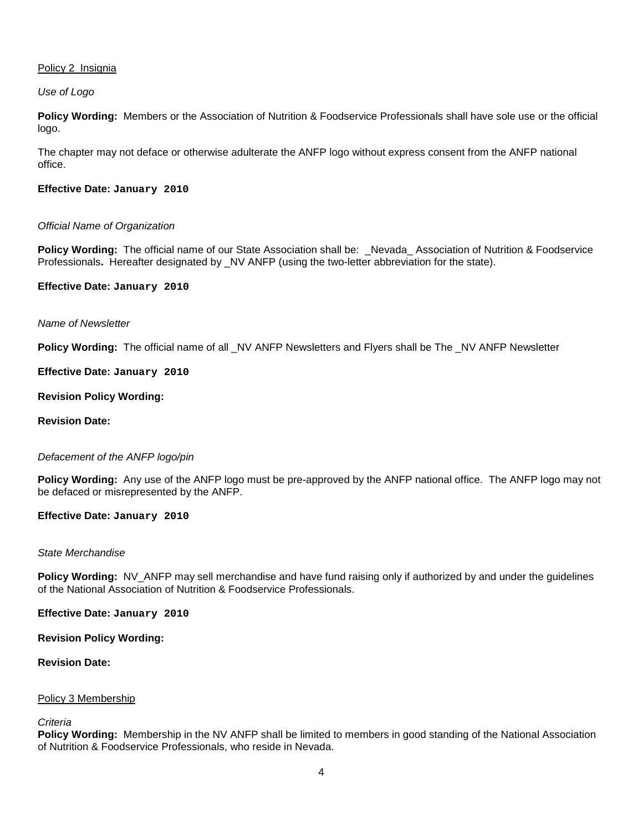## Policy 2 Insignia

*Use of Logo*

**Policy Wording:** Members or the Association of Nutrition & Foodservice Professionals shall have sole use or the official logo.

The chapter may not deface or otherwise adulterate the ANFP logo without express consent from the ANFP national office.

## **Effective Date: January 2010**

## *Official Name of Organization*

**Policy Wording:** The official name of our State Association shall be:\_Nevada\_ Association of Nutrition & Foodservice Professionals**.** Hereafter designated by \_NV ANFP (using the two-letter abbreviation for the state).

#### **Effective Date: January 2010**

## *Name of Newsletter*

**Policy Wording:** The official name of all  $N$ V ANFP Newsletters and Flyers shall be The  $N$ V ANFP Newsletter

#### **Effective Date: January 2010**

#### **Revision Policy Wording:**

#### **Revision Date:**

## *Defacement of the ANFP logo/pin*

**Policy Wording:** Any use of the ANFP logo must be pre-approved by the ANFP national office. The ANFP logo may not be defaced or misrepresented by the ANFP.

#### **Effective Date: January 2010**

#### *State Merchandise*

**Policy Wording:** NV\_ANFP may sell merchandise and have fund raising only if authorized by and under the guidelines of the National Association of Nutrition & Foodservice Professionals.

**Effective Date: January 2010**

**Revision Policy Wording:**

#### **Revision Date:**

## Policy 3 Membership

# *Criteria*

**Policy Wording:** Membership in the NV ANFP shall be limited to members in good standing of the National Association of Nutrition & Foodservice Professionals, who reside in Nevada.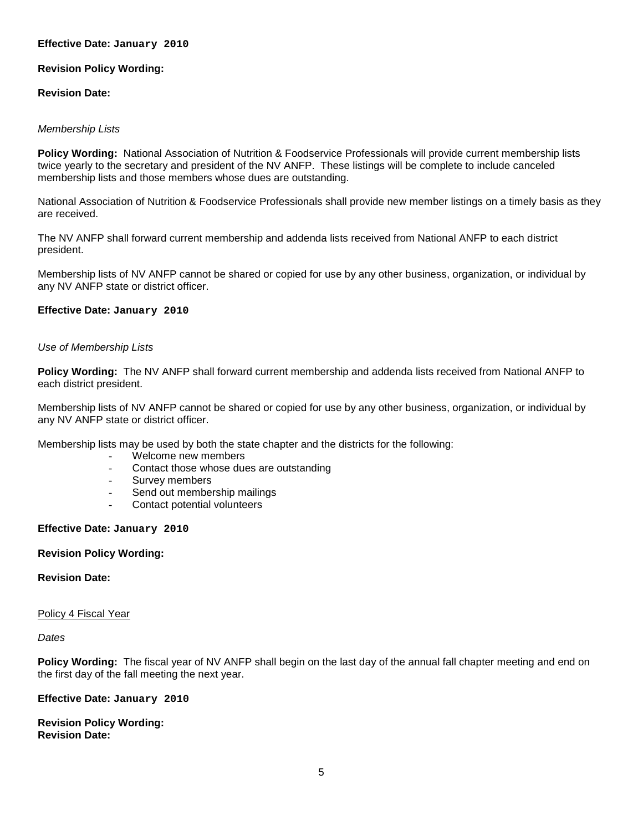## **Effective Date: January 2010**

## **Revision Policy Wording:**

#### **Revision Date:**

#### *Membership Lists*

**Policy Wording:** National Association of Nutrition & Foodservice Professionals will provide current membership lists twice yearly to the secretary and president of the NV ANFP. These listings will be complete to include canceled membership lists and those members whose dues are outstanding.

National Association of Nutrition & Foodservice Professionals shall provide new member listings on a timely basis as they are received.

The NV ANFP shall forward current membership and addenda lists received from National ANFP to each district president.

Membership lists of NV ANFP cannot be shared or copied for use by any other business, organization, or individual by any NV ANFP state or district officer.

#### **Effective Date: January 2010**

#### *Use of Membership Lists*

**Policy Wording:** The NV ANFP shall forward current membership and addenda lists received from National ANFP to each district president.

Membership lists of NV ANFP cannot be shared or copied for use by any other business, organization, or individual by any NV ANFP state or district officer.

Membership lists may be used by both the state chapter and the districts for the following:

- Welcome new members
- Contact those whose dues are outstanding
- Survey members
- Send out membership mailings
- Contact potential volunteers

#### **Effective Date: January 2010**

#### **Revision Policy Wording:**

# **Revision Date:**

#### Policy 4 Fiscal Year

#### *Dates*

**Policy Wording:** The fiscal year of NV ANFP shall begin on the last day of the annual fall chapter meeting and end on the first day of the fall meeting the next year.

#### **Effective Date: January 2010**

**Revision Policy Wording: Revision Date:**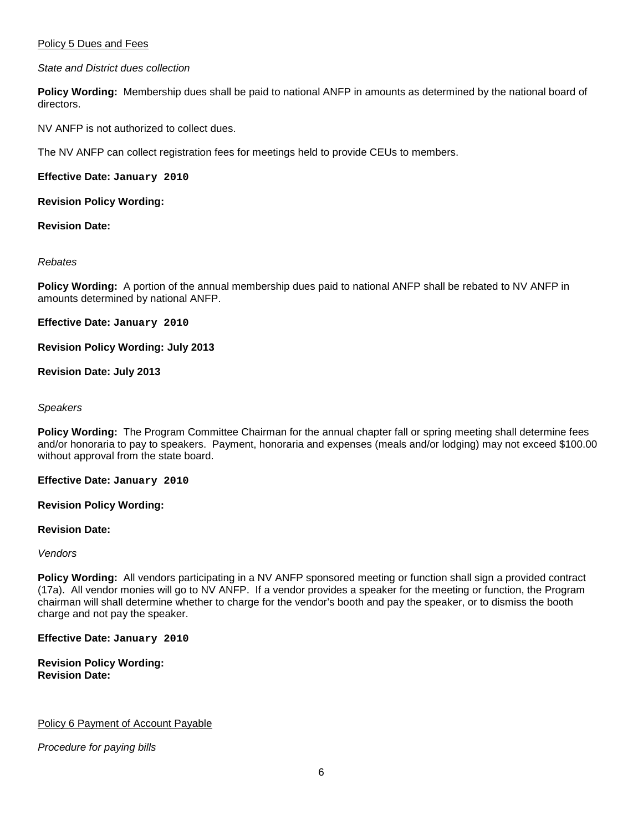## Policy 5 Dues and Fees

*State and District dues collection*

**Policy Wording:** Membership dues shall be paid to national ANFP in amounts as determined by the national board of directors.

NV ANFP is not authorized to collect dues.

The NV ANFP can collect registration fees for meetings held to provide CEUs to members.

**Effective Date: January 2010**

**Revision Policy Wording:**

**Revision Date:**

*Rebates*

**Policy Wording:** A portion of the annual membership dues paid to national ANFP shall be rebated to NV ANFP in amounts determined by national ANFP.

**Effective Date: January 2010**

**Revision Policy Wording: July 2013**

**Revision Date: July 2013**

#### *Speakers*

**Policy Wording:** The Program Committee Chairman for the annual chapter fall or spring meeting shall determine fees and/or honoraria to pay to speakers. Payment, honoraria and expenses (meals and/or lodging) may not exceed \$100.00 without approval from the state board.

**Effective Date: January 2010**

**Revision Policy Wording:**

**Revision Date:**

*Vendors*

**Policy Wording:** All vendors participating in a NV ANFP sponsored meeting or function shall sign a provided contract (17a). All vendor monies will go to NV ANFP. If a vendor provides a speaker for the meeting or function, the Program chairman will shall determine whether to charge for the vendor's booth and pay the speaker, or to dismiss the booth charge and not pay the speaker.

**Effective Date: January 2010**

**Revision Policy Wording: Revision Date:**

Policy 6 Payment of Account Payable

*Procedure for paying bills*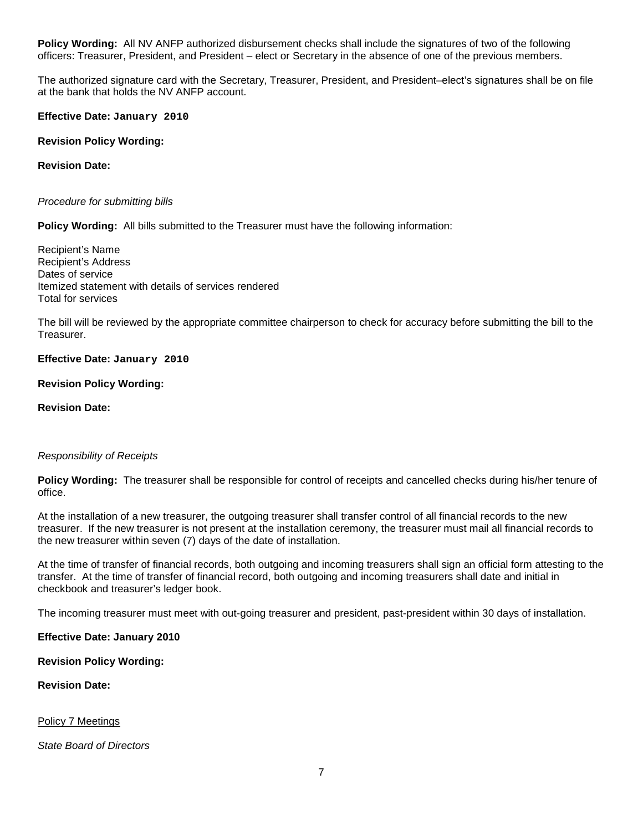**Policy Wording:** All NV ANFP authorized disbursement checks shall include the signatures of two of the following officers: Treasurer, President, and President – elect or Secretary in the absence of one of the previous members.

The authorized signature card with the Secretary, Treasurer, President, and President–elect's signatures shall be on file at the bank that holds the NV ANFP account.

**Effective Date: January 2010**

**Revision Policy Wording:**

**Revision Date:**

*Procedure for submitting bills*

**Policy Wording:** All bills submitted to the Treasurer must have the following information:

Recipient's Name Recipient's Address Dates of service Itemized statement with details of services rendered Total for services

The bill will be reviewed by the appropriate committee chairperson to check for accuracy before submitting the bill to the Treasurer.

**Effective Date: January 2010**

**Revision Policy Wording:**

**Revision Date:**

#### *Responsibility of Receipts*

**Policy Wording:** The treasurer shall be responsible for control of receipts and cancelled checks during his/her tenure of office.

At the installation of a new treasurer, the outgoing treasurer shall transfer control of all financial records to the new treasurer. If the new treasurer is not present at the installation ceremony, the treasurer must mail all financial records to the new treasurer within seven (7) days of the date of installation.

At the time of transfer of financial records, both outgoing and incoming treasurers shall sign an official form attesting to the transfer. At the time of transfer of financial record, both outgoing and incoming treasurers shall date and initial in checkbook and treasurer's ledger book.

The incoming treasurer must meet with out-going treasurer and president, past-president within 30 days of installation.

**Effective Date: January 2010**

**Revision Policy Wording:**

**Revision Date:**

Policy 7 Meetings

*State Board of Directors*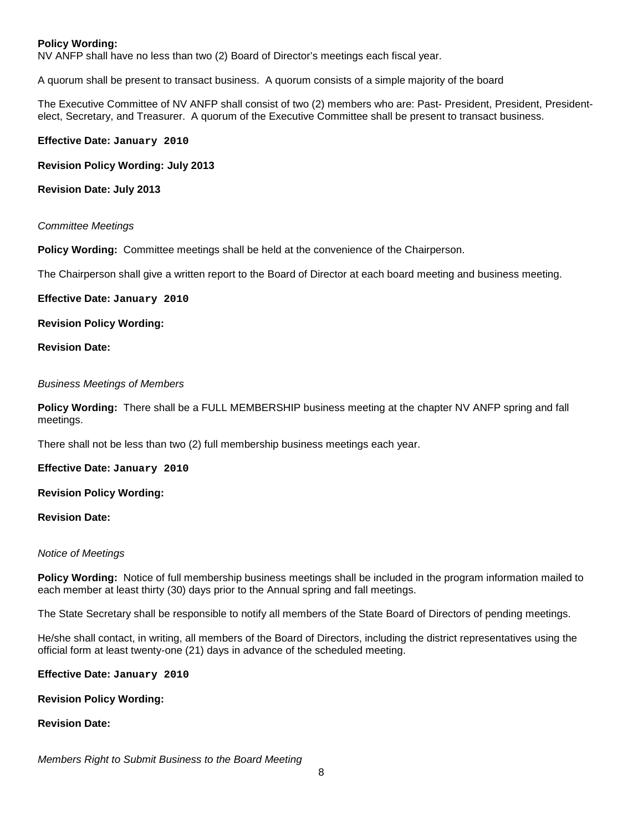## **Policy Wording:**

NV ANFP shall have no less than two (2) Board of Director's meetings each fiscal year.

A quorum shall be present to transact business. A quorum consists of a simple majority of the board

The Executive Committee of NV ANFP shall consist of two (2) members who are: Past- President, President, Presidentelect, Secretary, and Treasurer. A quorum of the Executive Committee shall be present to transact business.

#### **Effective Date: January 2010**

**Revision Policy Wording: July 2013**

**Revision Date: July 2013**

#### *Committee Meetings*

**Policy Wording:** Committee meetings shall be held at the convenience of the Chairperson.

The Chairperson shall give a written report to the Board of Director at each board meeting and business meeting.

**Effective Date: January 2010**

**Revision Policy Wording:**

**Revision Date:**

*Business Meetings of Members*

**Policy Wording:** There shall be a FULL MEMBERSHIP business meeting at the chapter NV ANFP spring and fall meetings.

There shall not be less than two (2) full membership business meetings each year.

**Effective Date: January 2010**

**Revision Policy Wording:**

**Revision Date:**

#### *Notice of Meetings*

**Policy Wording:** Notice of full membership business meetings shall be included in the program information mailed to each member at least thirty (30) days prior to the Annual spring and fall meetings.

The State Secretary shall be responsible to notify all members of the State Board of Directors of pending meetings.

He/she shall contact, in writing, all members of the Board of Directors, including the district representatives using the official form at least twenty-one (21) days in advance of the scheduled meeting.

**Effective Date: January 2010**

**Revision Policy Wording:**

## **Revision Date:**

*Members Right to Submit Business to the Board Meeting*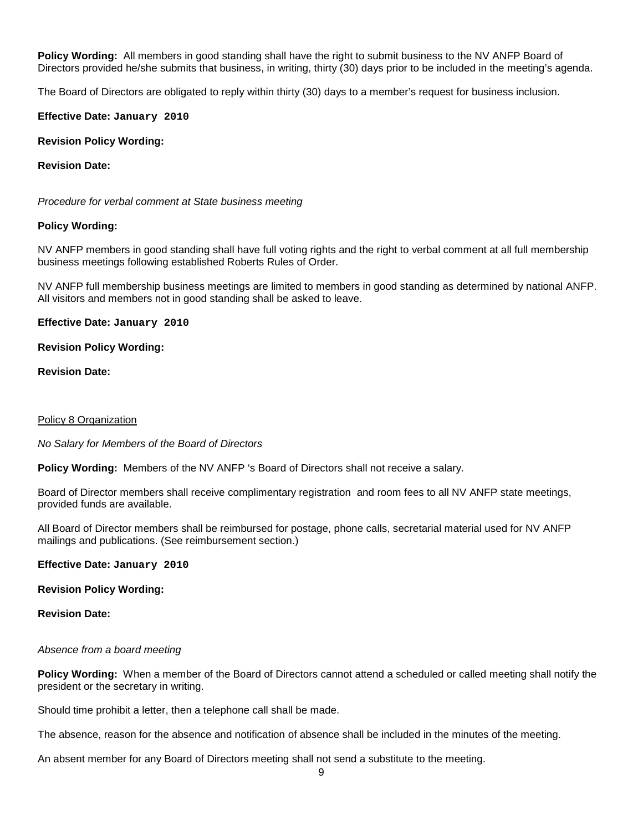**Policy Wording:** All members in good standing shall have the right to submit business to the NV ANFP Board of Directors provided he/she submits that business, in writing, thirty (30) days prior to be included in the meeting's agenda.

The Board of Directors are obligated to reply within thirty (30) days to a member's request for business inclusion.

**Effective Date: January 2010**

**Revision Policy Wording:**

**Revision Date:**

*Procedure for verbal comment at State business meeting*

#### **Policy Wording:**

NV ANFP members in good standing shall have full voting rights and the right to verbal comment at all full membership business meetings following established Roberts Rules of Order.

NV ANFP full membership business meetings are limited to members in good standing as determined by national ANFP. All visitors and members not in good standing shall be asked to leave.

**Effective Date: January 2010**

**Revision Policy Wording:**

**Revision Date:**

#### Policy 8 Organization

*No Salary for Members of the Board of Directors*

**Policy Wording:** Members of the NV ANFP 's Board of Directors shall not receive a salary.

Board of Director members shall receive complimentary registration and room fees to all NV ANFP state meetings, provided funds are available.

All Board of Director members shall be reimbursed for postage, phone calls, secretarial material used for NV ANFP mailings and publications. (See reimbursement section.)

**Effective Date: January 2010**

**Revision Policy Wording:**

**Revision Date:**

#### *Absence from a board meeting*

**Policy Wording:** When a member of the Board of Directors cannot attend a scheduled or called meeting shall notify the president or the secretary in writing.

Should time prohibit a letter, then a telephone call shall be made.

The absence, reason for the absence and notification of absence shall be included in the minutes of the meeting.

An absent member for any Board of Directors meeting shall not send a substitute to the meeting.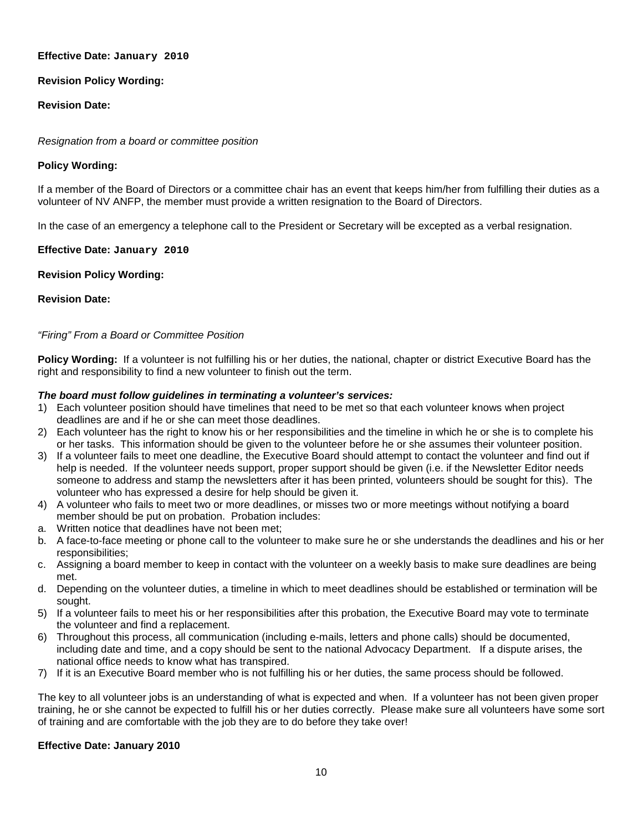## **Effective Date: January 2010**

# **Revision Policy Wording:**

# **Revision Date:**

## *Resignation from a board or committee position*

## **Policy Wording:**

If a member of the Board of Directors or a committee chair has an event that keeps him/her from fulfilling their duties as a volunteer of NV ANFP, the member must provide a written resignation to the Board of Directors.

In the case of an emergency a telephone call to the President or Secretary will be excepted as a verbal resignation.

## **Effective Date: January 2010**

## **Revision Policy Wording:**

## **Revision Date:**

## *"Firing" From a Board or Committee Position*

**Policy Wording:** If a volunteer is not fulfilling his or her duties, the national, chapter or district Executive Board has the right and responsibility to find a new volunteer to finish out the term.

## *The board must follow guidelines in terminating a volunteer's services:*

- 1) Each volunteer position should have timelines that need to be met so that each volunteer knows when project deadlines are and if he or she can meet those deadlines.
- 2) Each volunteer has the right to know his or her responsibilities and the timeline in which he or she is to complete his or her tasks. This information should be given to the volunteer before he or she assumes their volunteer position.
- 3) If a volunteer fails to meet one deadline, the Executive Board should attempt to contact the volunteer and find out if help is needed. If the volunteer needs support, proper support should be given (i.e. if the Newsletter Editor needs someone to address and stamp the newsletters after it has been printed, volunteers should be sought for this). The volunteer who has expressed a desire for help should be given it.
- 4) A volunteer who fails to meet two or more deadlines, or misses two or more meetings without notifying a board member should be put on probation. Probation includes:
- a. Written notice that deadlines have not been met;
- b. A face-to-face meeting or phone call to the volunteer to make sure he or she understands the deadlines and his or her responsibilities;
- c. Assigning a board member to keep in contact with the volunteer on a weekly basis to make sure deadlines are being met.
- d. Depending on the volunteer duties, a timeline in which to meet deadlines should be established or termination will be sought.
- 5) If a volunteer fails to meet his or her responsibilities after this probation, the Executive Board may vote to terminate the volunteer and find a replacement.
- 6) Throughout this process, all communication (including e-mails, letters and phone calls) should be documented, including date and time, and a copy should be sent to the national Advocacy Department. If a dispute arises, the national office needs to know what has transpired.
- 7) If it is an Executive Board member who is not fulfilling his or her duties, the same process should be followed.

The key to all volunteer jobs is an understanding of what is expected and when. If a volunteer has not been given proper training, he or she cannot be expected to fulfill his or her duties correctly. Please make sure all volunteers have some sort of training and are comfortable with the job they are to do before they take over!

## **Effective Date: January 2010**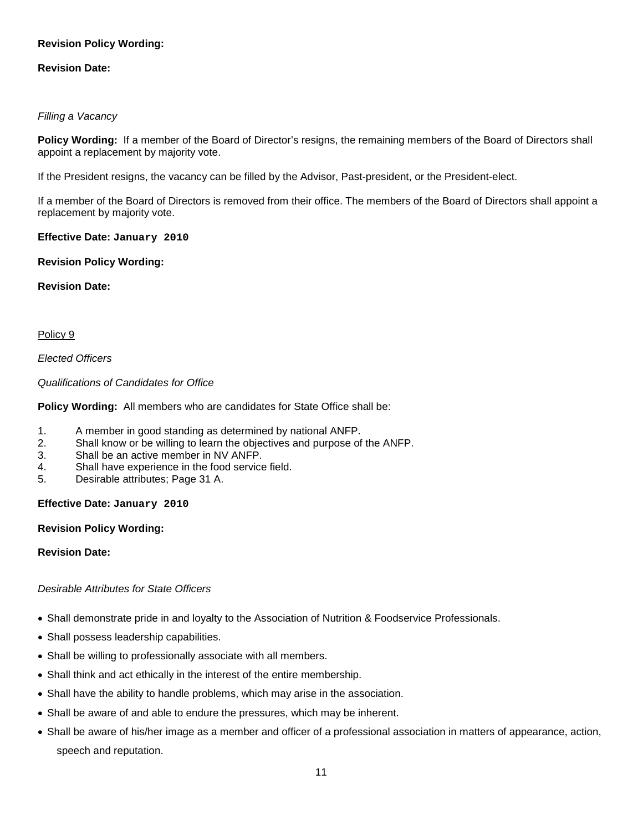# **Revision Policy Wording:**

## **Revision Date:**

## *Filling a Vacancy*

**Policy Wording:** If a member of the Board of Director's resigns, the remaining members of the Board of Directors shall appoint a replacement by majority vote.

If the President resigns, the vacancy can be filled by the Advisor, Past-president, or the President-elect.

If a member of the Board of Directors is removed from their office. The members of the Board of Directors shall appoint a replacement by majority vote.

## **Effective Date: January 2010**

## **Revision Policy Wording:**

## **Revision Date:**

## Policy 9

*Elected Officers* 

*Qualifications of Candidates for Office*

**Policy Wording:** All members who are candidates for State Office shall be:

- 1. A member in good standing as determined by national ANFP.
- 2. Shall know or be willing to learn the objectives and purpose of the ANFP.
- 3. Shall be an active member in NV ANFP.
- 4. Shall have experience in the food service field.
- 5. Desirable attributes; Page 31 A.

## **Effective Date: January 2010**

## **Revision Policy Wording:**

## **Revision Date:**

# *Desirable Attributes for State Officers*

- Shall demonstrate pride in and loyalty to the Association of Nutrition & Foodservice Professionals.
- Shall possess leadership capabilities.
- Shall be willing to professionally associate with all members.
- Shall think and act ethically in the interest of the entire membership.
- Shall have the ability to handle problems, which may arise in the association.
- Shall be aware of and able to endure the pressures, which may be inherent.
- Shall be aware of his/her image as a member and officer of a professional association in matters of appearance, action, speech and reputation.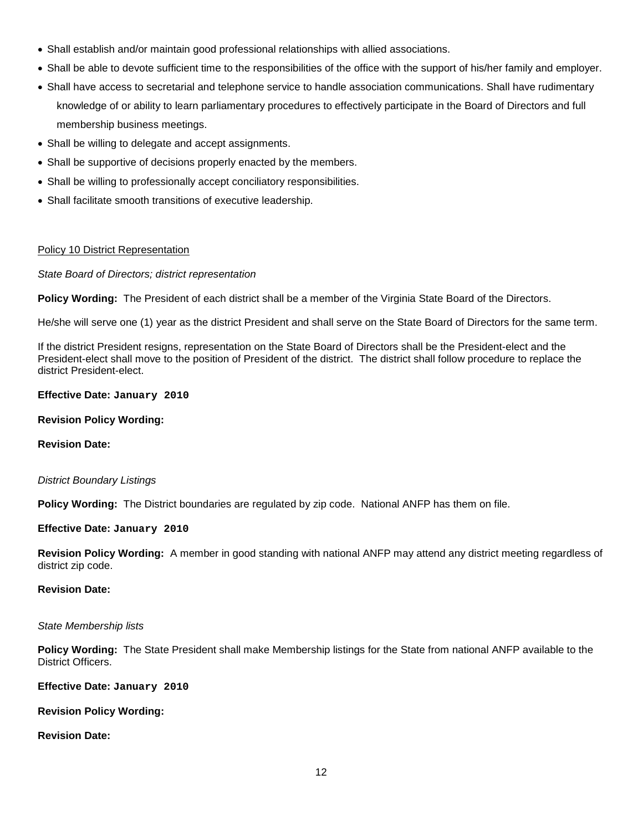- Shall establish and/or maintain good professional relationships with allied associations.
- Shall be able to devote sufficient time to the responsibilities of the office with the support of his/her family and employer.
- Shall have access to secretarial and telephone service to handle association communications. Shall have rudimentary knowledge of or ability to learn parliamentary procedures to effectively participate in the Board of Directors and full membership business meetings.
- Shall be willing to delegate and accept assignments.
- Shall be supportive of decisions properly enacted by the members.
- Shall be willing to professionally accept conciliatory responsibilities.
- Shall facilitate smooth transitions of executive leadership.

## Policy 10 District Representation

*State Board of Directors; district representation*

**Policy Wording:** The President of each district shall be a member of the Virginia State Board of the Directors.

He/she will serve one (1) year as the district President and shall serve on the State Board of Directors for the same term.

If the district President resigns, representation on the State Board of Directors shall be the President-elect and the President-elect shall move to the position of President of the district. The district shall follow procedure to replace the district President-elect.

## **Effective Date: January 2010**

## **Revision Policy Wording:**

**Revision Date:**

## *District Boundary Listings*

**Policy Wording:** The District boundaries are regulated by zip code. National ANFP has them on file.

## **Effective Date: January 2010**

**Revision Policy Wording:** A member in good standing with national ANFP may attend any district meeting regardless of district zip code.

## **Revision Date:**

## *State Membership lists*

**Policy Wording:** The State President shall make Membership listings for the State from national ANFP available to the District Officers.

**Effective Date: January 2010**

## **Revision Policy Wording:**

# **Revision Date:**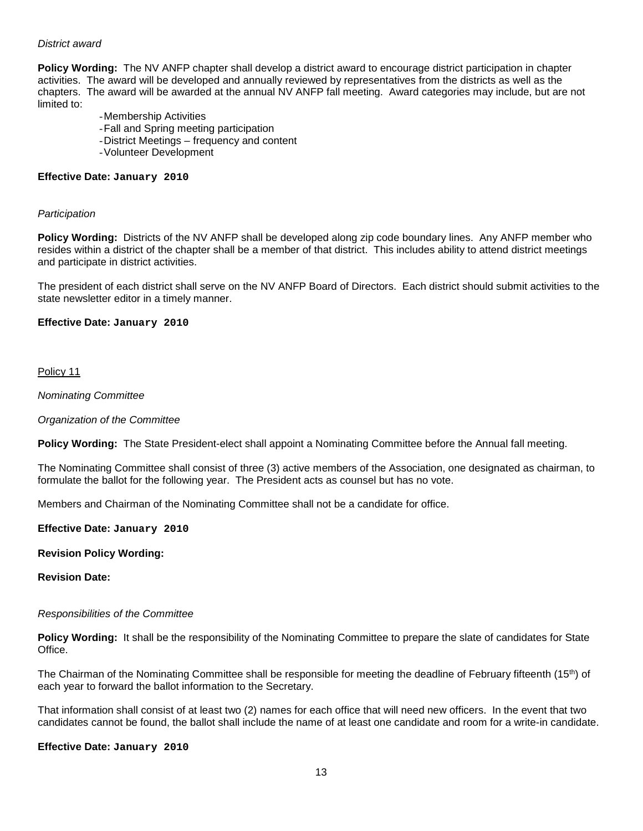## *District award*

**Policy Wording:** The NV ANFP chapter shall develop a district award to encourage district participation in chapter activities. The award will be developed and annually reviewed by representatives from the districts as well as the chapters. The award will be awarded at the annual NV ANFP fall meeting. Award categories may include, but are not limited to:

- -Membership Activities
- -Fall and Spring meeting participation
- -District Meetings frequency and content
- -Volunteer Development

#### **Effective Date: January 2010**

#### *Participation*

**Policy Wording:** Districts of the NV ANFP shall be developed along zip code boundary lines. Any ANFP member who resides within a district of the chapter shall be a member of that district. This includes ability to attend district meetings and participate in district activities.

The president of each district shall serve on the NV ANFP Board of Directors. Each district should submit activities to the state newsletter editor in a timely manner.

#### **Effective Date: January 2010**

Policy 11

*Nominating Committee*

*Organization of the Committee*

**Policy Wording:** The State President-elect shall appoint a Nominating Committee before the Annual fall meeting.

The Nominating Committee shall consist of three (3) active members of the Association, one designated as chairman, to formulate the ballot for the following year. The President acts as counsel but has no vote.

Members and Chairman of the Nominating Committee shall not be a candidate for office.

#### **Effective Date: January 2010**

#### **Revision Policy Wording:**

**Revision Date:**

#### *Responsibilities of the Committee*

**Policy Wording:** It shall be the responsibility of the Nominating Committee to prepare the slate of candidates for State Office.

The Chairman of the Nominating Committee shall be responsible for meeting the deadline of February fifteenth (15th) of each year to forward the ballot information to the Secretary.

That information shall consist of at least two (2) names for each office that will need new officers. In the event that two candidates cannot be found, the ballot shall include the name of at least one candidate and room for a write-in candidate.

#### **Effective Date: January 2010**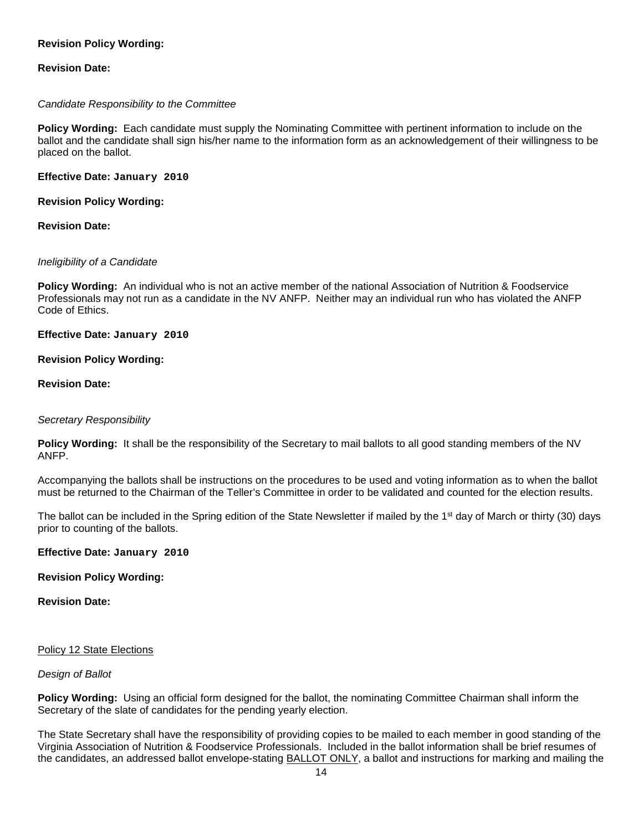# **Revision Policy Wording:**

## **Revision Date:**

## *Candidate Responsibility to the Committee*

**Policy Wording:** Each candidate must supply the Nominating Committee with pertinent information to include on the ballot and the candidate shall sign his/her name to the information form as an acknowledgement of their willingness to be placed on the ballot.

**Effective Date: January 2010**

**Revision Policy Wording:**

**Revision Date:**

## *Ineligibility of a Candidate*

**Policy Wording:** An individual who is not an active member of the national Association of Nutrition & Foodservice Professionals may not run as a candidate in the NV ANFP. Neither may an individual run who has violated the ANFP Code of Ethics.

**Effective Date: January 2010**

## **Revision Policy Wording:**

## **Revision Date:**

## *Secretary Responsibility*

**Policy Wording:** It shall be the responsibility of the Secretary to mail ballots to all good standing members of the NV ANFP.

Accompanying the ballots shall be instructions on the procedures to be used and voting information as to when the ballot must be returned to the Chairman of the Teller's Committee in order to be validated and counted for the election results.

The ballot can be included in the Spring edition of the State Newsletter if mailed by the  $1<sup>st</sup>$  day of March or thirty (30) days prior to counting of the ballots.

## **Effective Date: January 2010**

## **Revision Policy Wording:**

## **Revision Date:**

## Policy 12 State Elections

## *Design of Ballot*

**Policy Wording:** Using an official form designed for the ballot, the nominating Committee Chairman shall inform the Secretary of the slate of candidates for the pending yearly election.

The State Secretary shall have the responsibility of providing copies to be mailed to each member in good standing of the Virginia Association of Nutrition & Foodservice Professionals. Included in the ballot information shall be brief resumes of the candidates, an addressed ballot envelope-stating BALLOT ONLY, a ballot and instructions for marking and mailing the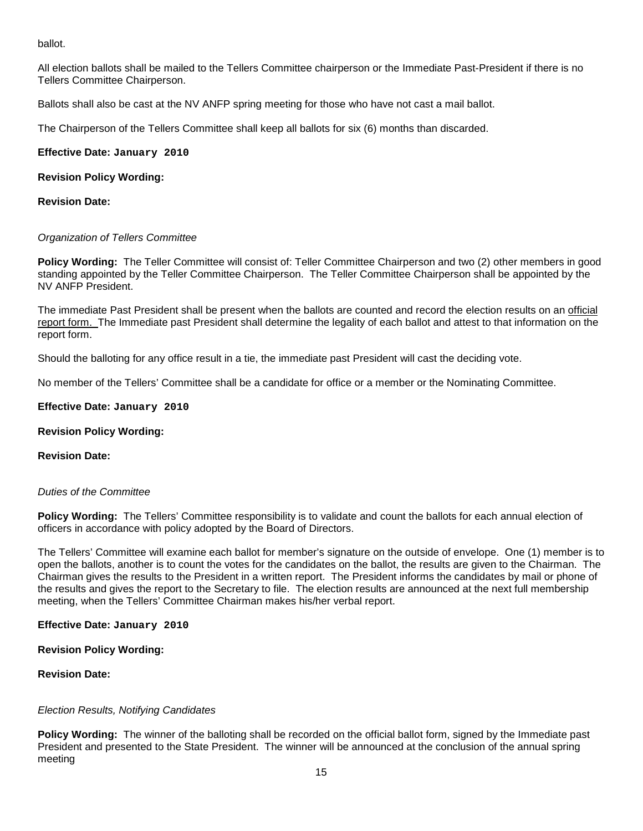ballot.

All election ballots shall be mailed to the Tellers Committee chairperson or the Immediate Past-President if there is no Tellers Committee Chairperson.

Ballots shall also be cast at the NV ANFP spring meeting for those who have not cast a mail ballot.

The Chairperson of the Tellers Committee shall keep all ballots for six (6) months than discarded.

**Effective Date: January 2010**

## **Revision Policy Wording:**

## **Revision Date:**

## *Organization of Tellers Committee*

**Policy Wording:** The Teller Committee will consist of: Teller Committee Chairperson and two (2) other members in good standing appointed by the Teller Committee Chairperson. The Teller Committee Chairperson shall be appointed by the NV ANFP President.

The immediate Past President shall be present when the ballots are counted and record the election results on an official report form. The Immediate past President shall determine the legality of each ballot and attest to that information on the report form.

Should the balloting for any office result in a tie, the immediate past President will cast the deciding vote.

No member of the Tellers' Committee shall be a candidate for office or a member or the Nominating Committee.

## **Effective Date: January 2010**

## **Revision Policy Wording:**

## **Revision Date:**

## *Duties of the Committee*

**Policy Wording:** The Tellers' Committee responsibility is to validate and count the ballots for each annual election of officers in accordance with policy adopted by the Board of Directors.

The Tellers' Committee will examine each ballot for member's signature on the outside of envelope. One (1) member is to open the ballots, another is to count the votes for the candidates on the ballot, the results are given to the Chairman. The Chairman gives the results to the President in a written report. The President informs the candidates by mail or phone of the results and gives the report to the Secretary to file. The election results are announced at the next full membership meeting, when the Tellers' Committee Chairman makes his/her verbal report.

**Effective Date: January 2010**

## **Revision Policy Wording:**

# **Revision Date:**

# *Election Results, Notifying Candidates*

**Policy Wording:** The winner of the balloting shall be recorded on the official ballot form, signed by the Immediate past President and presented to the State President. The winner will be announced at the conclusion of the annual spring meeting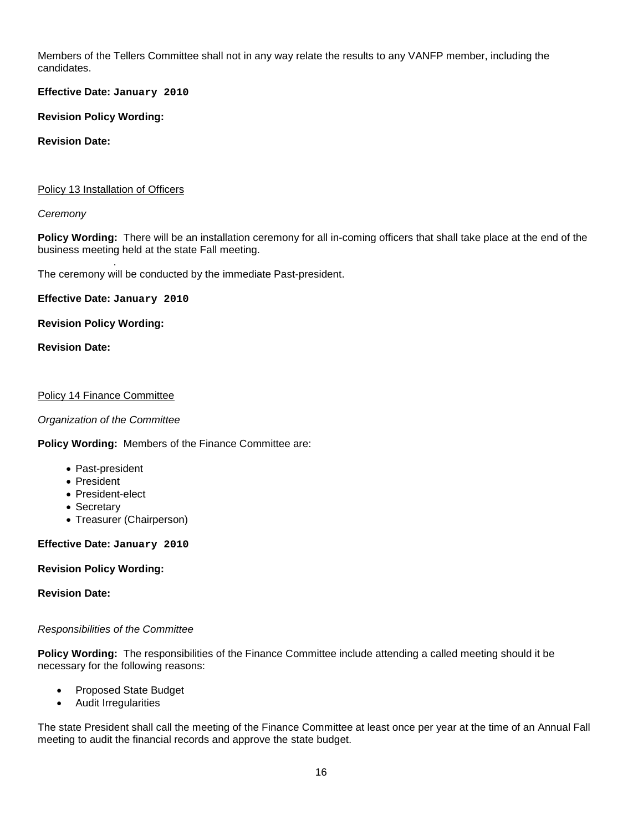Members of the Tellers Committee shall not in any way relate the results to any VANFP member, including the candidates.

**Effective Date: January 2010**

**Revision Policy Wording:**

## **Revision Date:**

## Policy 13 Installation of Officers

## *Ceremony*

**Policy Wording:** There will be an installation ceremony for all in-coming officers that shall take place at the end of the business meeting held at the state Fall meeting.

. The ceremony will be conducted by the immediate Past-president.

**Effective Date: January 2010**

## **Revision Policy Wording:**

**Revision Date:**

## Policy 14 Finance Committee

## *Organization of the Committee*

**Policy Wording:** Members of the Finance Committee are:

- Past-president
- President
- President-elect
- Secretary
- Treasurer (Chairperson)

## **Effective Date: January 2010**

# **Revision Policy Wording:**

## **Revision Date:**

# *Responsibilities of the Committee*

**Policy Wording:** The responsibilities of the Finance Committee include attending a called meeting should it be necessary for the following reasons:

- Proposed State Budget
- Audit Irregularities

The state President shall call the meeting of the Finance Committee at least once per year at the time of an Annual Fall meeting to audit the financial records and approve the state budget.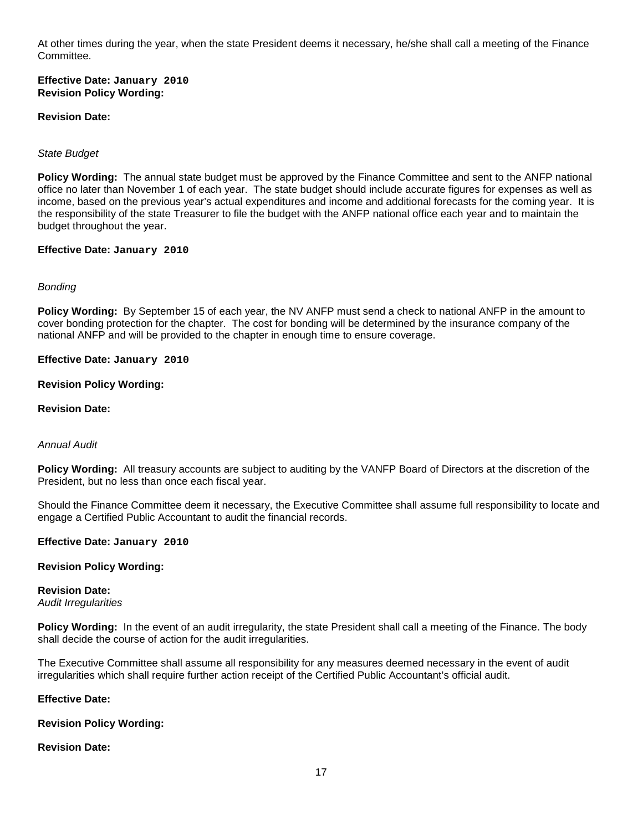At other times during the year, when the state President deems it necessary, he/she shall call a meeting of the Finance Committee.

**Effective Date: January 2010 Revision Policy Wording:**

## **Revision Date:**

## *State Budget*

**Policy Wording:** The annual state budget must be approved by the Finance Committee and sent to the ANFP national office no later than November 1 of each year. The state budget should include accurate figures for expenses as well as income, based on the previous year's actual expenditures and income and additional forecasts for the coming year. It is the responsibility of the state Treasurer to file the budget with the ANFP national office each year and to maintain the budget throughout the year.

#### **Effective Date: January 2010**

#### *Bonding*

**Policy Wording:** By September 15 of each year, the NV ANFP must send a check to national ANFP in the amount to cover bonding protection for the chapter. The cost for bonding will be determined by the insurance company of the national ANFP and will be provided to the chapter in enough time to ensure coverage.

#### **Effective Date: January 2010**

#### **Revision Policy Wording:**

#### **Revision Date:**

#### *Annual Audit*

**Policy Wording:** All treasury accounts are subject to auditing by the VANFP Board of Directors at the discretion of the President, but no less than once each fiscal year.

Should the Finance Committee deem it necessary, the Executive Committee shall assume full responsibility to locate and engage a Certified Public Accountant to audit the financial records.

#### **Effective Date: January 2010**

#### **Revision Policy Wording:**

#### **Revision Date:**

*Audit Irregularities*

**Policy Wording:** In the event of an audit irregularity, the state President shall call a meeting of the Finance. The body shall decide the course of action for the audit irregularities.

The Executive Committee shall assume all responsibility for any measures deemed necessary in the event of audit irregularities which shall require further action receipt of the Certified Public Accountant's official audit.

#### **Effective Date:**

#### **Revision Policy Wording:**

## **Revision Date:**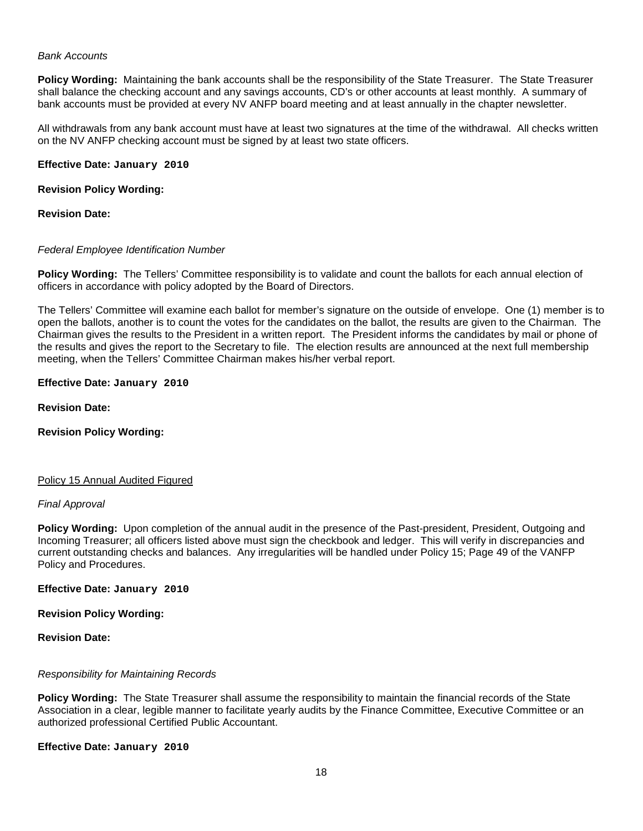#### *Bank Accounts*

**Policy Wording:** Maintaining the bank accounts shall be the responsibility of the State Treasurer. The State Treasurer shall balance the checking account and any savings accounts, CD's or other accounts at least monthly. A summary of bank accounts must be provided at every NV ANFP board meeting and at least annually in the chapter newsletter.

All withdrawals from any bank account must have at least two signatures at the time of the withdrawal. All checks written on the NV ANFP checking account must be signed by at least two state officers.

**Effective Date: January 2010**

**Revision Policy Wording:**

**Revision Date:**

#### *Federal Employee Identification Number*

**Policy Wording:** The Tellers' Committee responsibility is to validate and count the ballots for each annual election of officers in accordance with policy adopted by the Board of Directors.

The Tellers' Committee will examine each ballot for member's signature on the outside of envelope. One (1) member is to open the ballots, another is to count the votes for the candidates on the ballot, the results are given to the Chairman. The Chairman gives the results to the President in a written report. The President informs the candidates by mail or phone of the results and gives the report to the Secretary to file. The election results are announced at the next full membership meeting, when the Tellers' Committee Chairman makes his/her verbal report.

#### **Effective Date: January 2010**

**Revision Date:**

**Revision Policy Wording:**

#### Policy 15 Annual Audited Figured

#### *Final Approval*

**Policy Wording:** Upon completion of the annual audit in the presence of the Past-president, President, Outgoing and Incoming Treasurer; all officers listed above must sign the checkbook and ledger. This will verify in discrepancies and current outstanding checks and balances. Any irregularities will be handled under Policy 15; Page 49 of the VANFP Policy and Procedures.

**Effective Date: January 2010**

**Revision Policy Wording:**

**Revision Date:**

## *Responsibility for Maintaining Records*

**Policy Wording:** The State Treasurer shall assume the responsibility to maintain the financial records of the State Association in a clear, legible manner to facilitate yearly audits by the Finance Committee, Executive Committee or an authorized professional Certified Public Accountant.

**Effective Date: January 2010**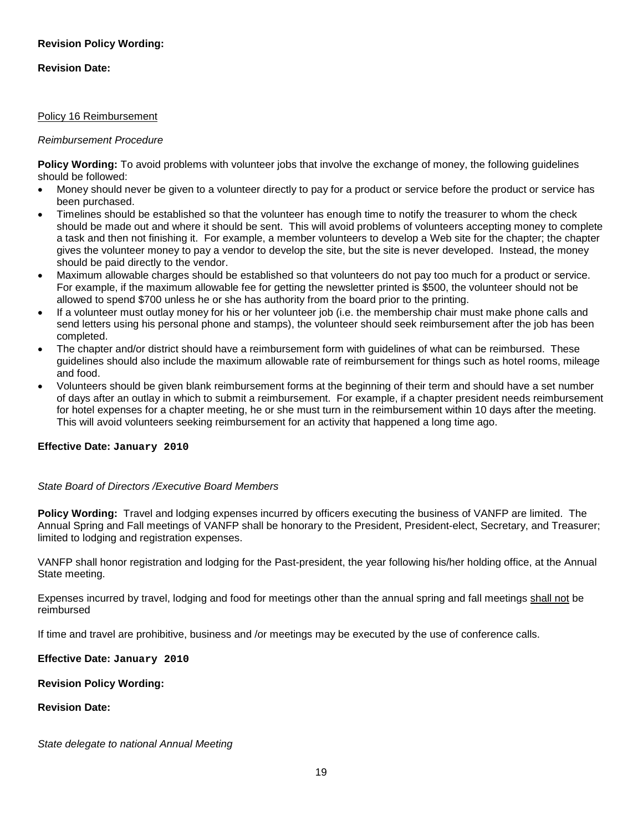# **Revision Policy Wording:**

## **Revision Date:**

## Policy 16 Reimbursement

## *Reimbursement Procedure*

**Policy Wording:** To avoid problems with volunteer jobs that involve the exchange of money, the following guidelines should be followed:

- Money should never be given to a volunteer directly to pay for a product or service before the product or service has been purchased.
- Timelines should be established so that the volunteer has enough time to notify the treasurer to whom the check should be made out and where it should be sent. This will avoid problems of volunteers accepting money to complete a task and then not finishing it. For example, a member volunteers to develop a Web site for the chapter; the chapter gives the volunteer money to pay a vendor to develop the site, but the site is never developed. Instead, the money should be paid directly to the vendor.
- Maximum allowable charges should be established so that volunteers do not pay too much for a product or service. For example, if the maximum allowable fee for getting the newsletter printed is \$500, the volunteer should not be allowed to spend \$700 unless he or she has authority from the board prior to the printing.
- If a volunteer must outlay money for his or her volunteer job (i.e. the membership chair must make phone calls and send letters using his personal phone and stamps), the volunteer should seek reimbursement after the job has been completed.
- The chapter and/or district should have a reimbursement form with guidelines of what can be reimbursed. These guidelines should also include the maximum allowable rate of reimbursement for things such as hotel rooms, mileage and food.
- Volunteers should be given blank reimbursement forms at the beginning of their term and should have a set number of days after an outlay in which to submit a reimbursement. For example, if a chapter president needs reimbursement for hotel expenses for a chapter meeting, he or she must turn in the reimbursement within 10 days after the meeting. This will avoid volunteers seeking reimbursement for an activity that happened a long time ago.

# **Effective Date: January 2010**

## *State Board of Directors /Executive Board Members*

**Policy Wording:** Travel and lodging expenses incurred by officers executing the business of VANFP are limited. The Annual Spring and Fall meetings of VANFP shall be honorary to the President, President-elect, Secretary, and Treasurer; limited to lodging and registration expenses.

VANFP shall honor registration and lodging for the Past-president, the year following his/her holding office, at the Annual State meeting.

Expenses incurred by travel, lodging and food for meetings other than the annual spring and fall meetings shall not be reimbursed

If time and travel are prohibitive, business and /or meetings may be executed by the use of conference calls.

## **Effective Date: January 2010**

# **Revision Policy Wording:**

## **Revision Date:**

*State delegate to national Annual Meeting*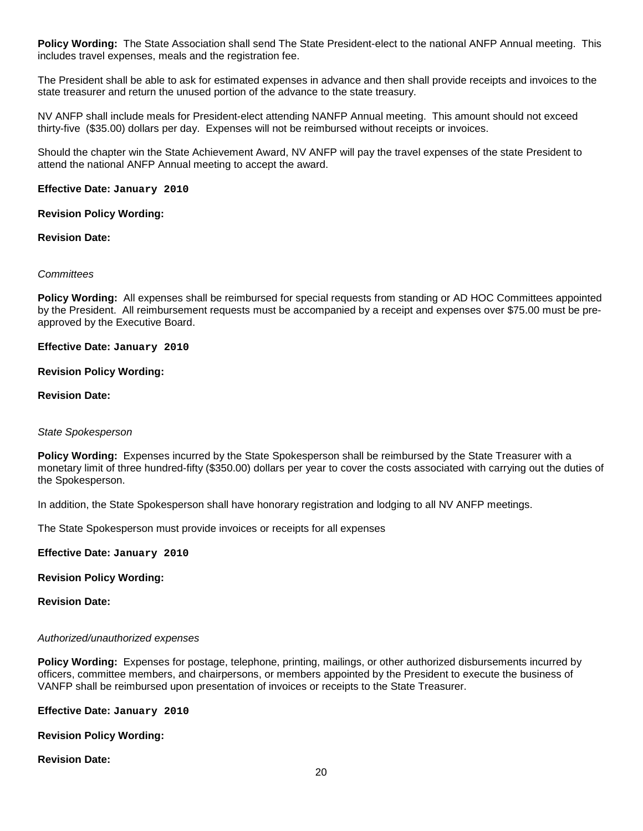**Policy Wording:** The State Association shall send The State President-elect to the national ANFP Annual meeting. This includes travel expenses, meals and the registration fee.

The President shall be able to ask for estimated expenses in advance and then shall provide receipts and invoices to the state treasurer and return the unused portion of the advance to the state treasury.

NV ANFP shall include meals for President-elect attending NANFP Annual meeting. This amount should not exceed thirty-five (\$35.00) dollars per day. Expenses will not be reimbursed without receipts or invoices.

Should the chapter win the State Achievement Award, NV ANFP will pay the travel expenses of the state President to attend the national ANFP Annual meeting to accept the award.

## **Effective Date: January 2010**

## **Revision Policy Wording:**

## **Revision Date:**

## *Committees*

**Policy Wording:** All expenses shall be reimbursed for special requests from standing or AD HOC Committees appointed by the President. All reimbursement requests must be accompanied by a receipt and expenses over \$75.00 must be preapproved by the Executive Board.

**Effective Date: January 2010**

## **Revision Policy Wording:**

## **Revision Date:**

## *State Spokesperson*

**Policy Wording:** Expenses incurred by the State Spokesperson shall be reimbursed by the State Treasurer with a monetary limit of three hundred-fifty (\$350.00) dollars per year to cover the costs associated with carrying out the duties of the Spokesperson.

In addition, the State Spokesperson shall have honorary registration and lodging to all NV ANFP meetings.

The State Spokesperson must provide invoices or receipts for all expenses

## **Effective Date: January 2010**

# **Revision Policy Wording:**

## **Revision Date:**

## *Authorized/unauthorized expenses*

**Policy Wording:** Expenses for postage, telephone, printing, mailings, or other authorized disbursements incurred by officers, committee members, and chairpersons, or members appointed by the President to execute the business of VANFP shall be reimbursed upon presentation of invoices or receipts to the State Treasurer.

**Effective Date: January 2010**

# **Revision Policy Wording:**

**Revision Date:**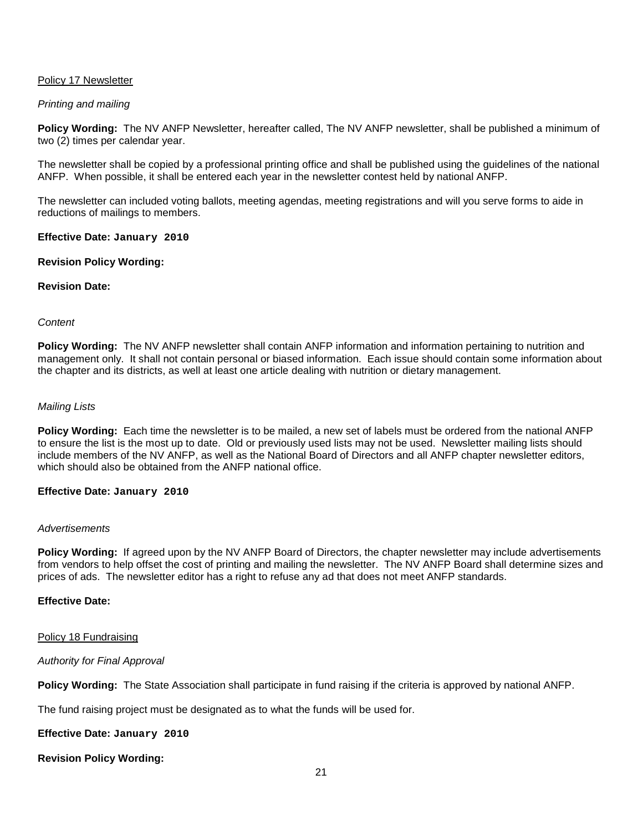## Policy 17 Newsletter

## *Printing and mailing*

**Policy Wording:** The NV ANFP Newsletter, hereafter called, The NV ANFP newsletter, shall be published a minimum of two (2) times per calendar year.

The newsletter shall be copied by a professional printing office and shall be published using the guidelines of the national ANFP. When possible, it shall be entered each year in the newsletter contest held by national ANFP.

The newsletter can included voting ballots, meeting agendas, meeting registrations and will you serve forms to aide in reductions of mailings to members.

#### **Effective Date: January 2010**

## **Revision Policy Wording:**

## **Revision Date:**

#### *Content*

**Policy Wording:** The NV ANFP newsletter shall contain ANFP information and information pertaining to nutrition and management only. It shall not contain personal or biased information. Each issue should contain some information about the chapter and its districts, as well at least one article dealing with nutrition or dietary management.

#### *Mailing Lists*

**Policy Wording:** Each time the newsletter is to be mailed, a new set of labels must be ordered from the national ANFP to ensure the list is the most up to date. Old or previously used lists may not be used. Newsletter mailing lists should include members of the NV ANFP, as well as the National Board of Directors and all ANFP chapter newsletter editors, which should also be obtained from the ANFP national office.

#### **Effective Date: January 2010**

#### *Advertisements*

**Policy Wording:** If agreed upon by the NV ANFP Board of Directors, the chapter newsletter may include advertisements from vendors to help offset the cost of printing and mailing the newsletter. The NV ANFP Board shall determine sizes and prices of ads. The newsletter editor has a right to refuse any ad that does not meet ANFP standards.

## **Effective Date:**

#### Policy 18 Fundraising

## *Authority for Final Approval*

**Policy Wording:** The State Association shall participate in fund raising if the criteria is approved by national ANFP.

The fund raising project must be designated as to what the funds will be used for.

## **Effective Date: January 2010**

**Revision Policy Wording:**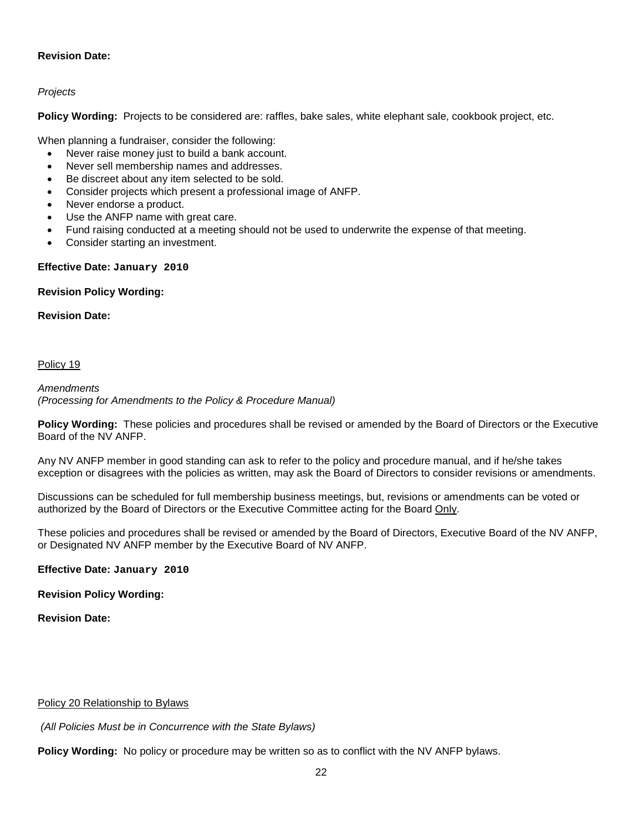# **Revision Date:**

# *Projects*

**Policy Wording:** Projects to be considered are: raffles, bake sales, white elephant sale, cookbook project, etc.

When planning a fundraiser, consider the following:

- Never raise money just to build a bank account.
- Never sell membership names and addresses.
- Be discreet about any item selected to be sold.
- Consider projects which present a professional image of ANFP.
- Never endorse a product.
- Use the ANFP name with great care.
- Fund raising conducted at a meeting should not be used to underwrite the expense of that meeting.
- Consider starting an investment.

## **Effective Date: January 2010**

## **Revision Policy Wording:**

**Revision Date:**

## Policy 19

*Amendments (Processing for Amendments to the Policy & Procedure Manual)*

**Policy Wording:** These policies and procedures shall be revised or amended by the Board of Directors or the Executive Board of the NV ANFP.

Any NV ANFP member in good standing can ask to refer to the policy and procedure manual, and if he/she takes exception or disagrees with the policies as written, may ask the Board of Directors to consider revisions or amendments.

Discussions can be scheduled for full membership business meetings, but, revisions or amendments can be voted or authorized by the Board of Directors or the Executive Committee acting for the Board Only.

These policies and procedures shall be revised or amended by the Board of Directors, Executive Board of the NV ANFP, or Designated NV ANFP member by the Executive Board of NV ANFP.

**Effective Date: January 2010**

**Revision Policy Wording:**

**Revision Date:**

## Policy 20 Relationship to Bylaws

*(All Policies Must be in Concurrence with the State Bylaws)*

**Policy Wording:** No policy or procedure may be written so as to conflict with the NV ANFP bylaws.